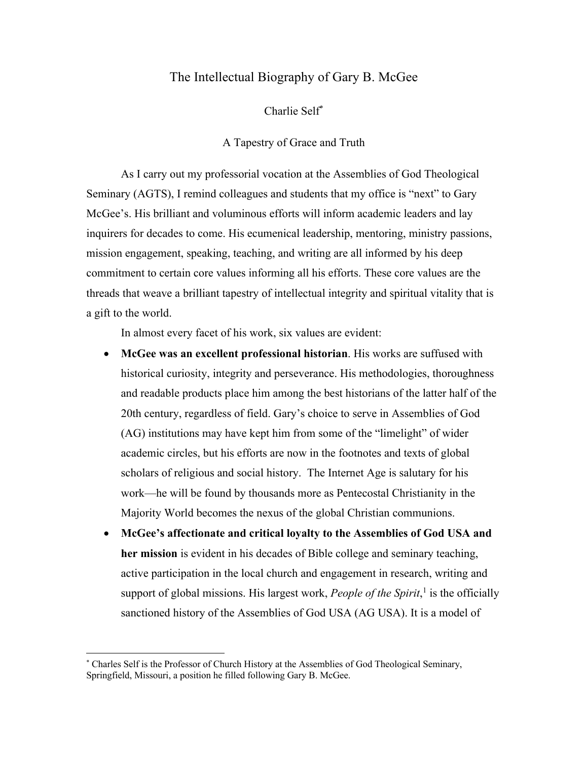# The Intellectual Biography of Gary B. McGee

Charlie Self\*

A Tapestry of Grace and Truth

As I carry out my professorial vocation at the Assemblies of God Theological Seminary (AGTS), I remind colleagues and students that my office is "next" to Gary McGee's. His brilliant and voluminous efforts will inform academic leaders and lay inquirers for decades to come. His ecumenical leadership, mentoring, ministry passions, mission engagement, speaking, teaching, and writing are all informed by his deep commitment to certain core values informing all his efforts. These core values are the threads that weave a brilliant tapestry of intellectual integrity and spiritual vitality that is a gift to the world.

In almost every facet of his work, six values are evident:

- **McGee was an excellent professional historian**. His works are suffused with historical curiosity, integrity and perseverance. His methodologies, thoroughness and readable products place him among the best historians of the latter half of the 20th century, regardless of field. Gary's choice to serve in Assemblies of God (AG) institutions may have kept him from some of the "limelight" of wider academic circles, but his efforts are now in the footnotes and texts of global scholars of religious and social history. The Internet Age is salutary for his work—he will be found by thousands more as Pentecostal Christianity in the Majority World becomes the nexus of the global Christian communions.
- **McGee's affectionate and critical loyalty to the Assemblies of God USA and her mission** is evident in his decades of Bible college and seminary teaching, active participation in the local church and engagement in research, writing and support of global missions. His largest work, *People of the Spirit*, <sup>1</sup> is the officially sanctioned history of the Assemblies of God USA (AG USA). It is a model of

<sup>\*</sup> Charles Self is the Professor of Church History at the Assemblies of God Theological Seminary, Springfield, Missouri, a position he filled following Gary B. McGee.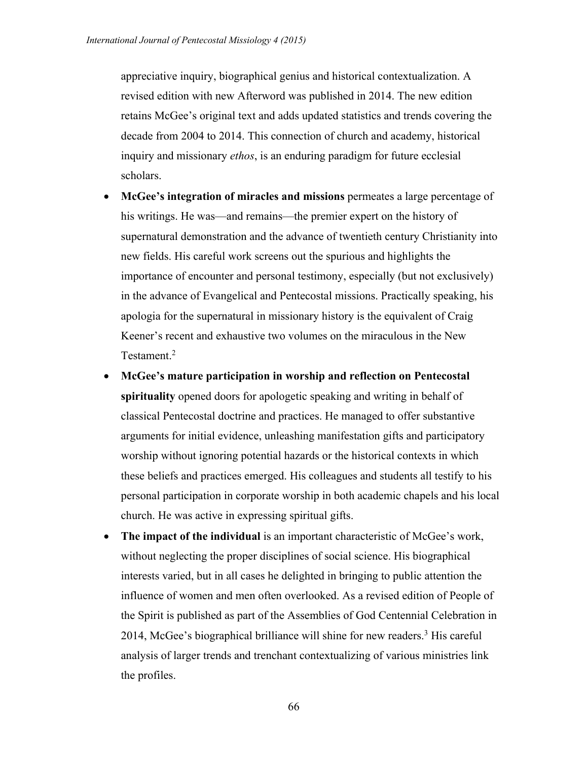appreciative inquiry, biographical genius and historical contextualization. A revised edition with new Afterword was published in 2014. The new edition retains McGee's original text and adds updated statistics and trends covering the decade from 2004 to 2014. This connection of church and academy, historical inquiry and missionary *ethos*, is an enduring paradigm for future ecclesial scholars.

- **McGee's integration of miracles and missions** permeates a large percentage of his writings. He was—and remains—the premier expert on the history of supernatural demonstration and the advance of twentieth century Christianity into new fields. His careful work screens out the spurious and highlights the importance of encounter and personal testimony, especially (but not exclusively) in the advance of Evangelical and Pentecostal missions. Practically speaking, his apologia for the supernatural in missionary history is the equivalent of Craig Keener's recent and exhaustive two volumes on the miraculous in the New Testament.<sup>2</sup>
- **McGee's mature participation in worship and reflection on Pentecostal spirituality** opened doors for apologetic speaking and writing in behalf of classical Pentecostal doctrine and practices. He managed to offer substantive arguments for initial evidence, unleashing manifestation gifts and participatory worship without ignoring potential hazards or the historical contexts in which these beliefs and practices emerged. His colleagues and students all testify to his personal participation in corporate worship in both academic chapels and his local church. He was active in expressing spiritual gifts.
- **The impact of the individual** is an important characteristic of McGee's work, without neglecting the proper disciplines of social science. His biographical interests varied, but in all cases he delighted in bringing to public attention the influence of women and men often overlooked. As a revised edition of People of the Spirit is published as part of the Assemblies of God Centennial Celebration in 2014, McGee's biographical brilliance will shine for new readers.3 His careful analysis of larger trends and trenchant contextualizing of various ministries link the profiles.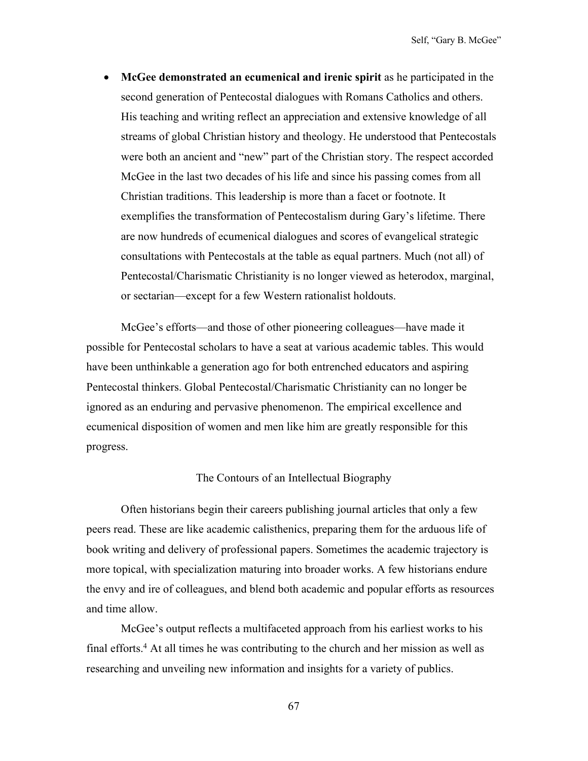• **McGee demonstrated an ecumenical and irenic spirit** as he participated in the second generation of Pentecostal dialogues with Romans Catholics and others. His teaching and writing reflect an appreciation and extensive knowledge of all streams of global Christian history and theology. He understood that Pentecostals were both an ancient and "new" part of the Christian story. The respect accorded McGee in the last two decades of his life and since his passing comes from all Christian traditions. This leadership is more than a facet or footnote. It exemplifies the transformation of Pentecostalism during Gary's lifetime. There are now hundreds of ecumenical dialogues and scores of evangelical strategic consultations with Pentecostals at the table as equal partners. Much (not all) of Pentecostal/Charismatic Christianity is no longer viewed as heterodox, marginal, or sectarian—except for a few Western rationalist holdouts.

McGee's efforts—and those of other pioneering colleagues—have made it possible for Pentecostal scholars to have a seat at various academic tables. This would have been unthinkable a generation ago for both entrenched educators and aspiring Pentecostal thinkers. Global Pentecostal/Charismatic Christianity can no longer be ignored as an enduring and pervasive phenomenon. The empirical excellence and ecumenical disposition of women and men like him are greatly responsible for this progress.

## The Contours of an Intellectual Biography

Often historians begin their careers publishing journal articles that only a few peers read. These are like academic calisthenics, preparing them for the arduous life of book writing and delivery of professional papers. Sometimes the academic trajectory is more topical, with specialization maturing into broader works. A few historians endure the envy and ire of colleagues, and blend both academic and popular efforts as resources and time allow.

McGee's output reflects a multifaceted approach from his earliest works to his final efforts.4 At all times he was contributing to the church and her mission as well as researching and unveiling new information and insights for a variety of publics.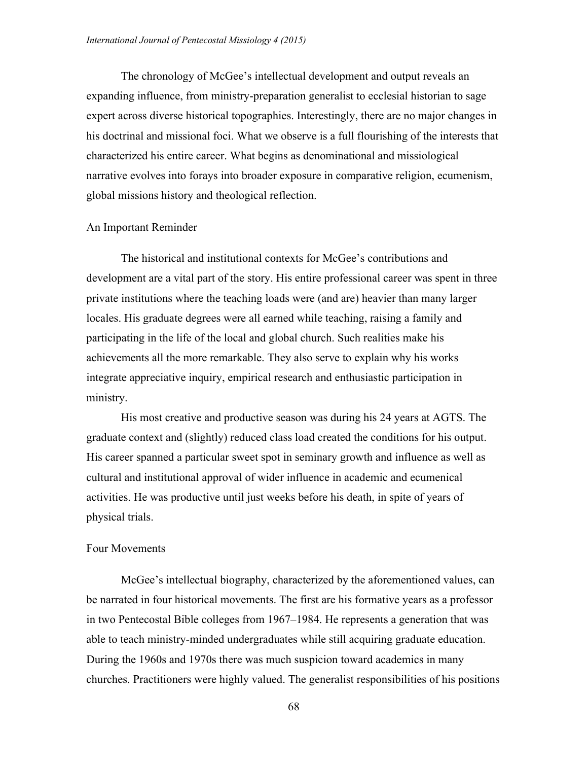The chronology of McGee's intellectual development and output reveals an expanding influence, from ministry-preparation generalist to ecclesial historian to sage expert across diverse historical topographies. Interestingly, there are no major changes in his doctrinal and missional foci. What we observe is a full flourishing of the interests that characterized his entire career. What begins as denominational and missiological narrative evolves into forays into broader exposure in comparative religion, ecumenism, global missions history and theological reflection.

### An Important Reminder

The historical and institutional contexts for McGee's contributions and development are a vital part of the story. His entire professional career was spent in three private institutions where the teaching loads were (and are) heavier than many larger locales. His graduate degrees were all earned while teaching, raising a family and participating in the life of the local and global church. Such realities make his achievements all the more remarkable. They also serve to explain why his works integrate appreciative inquiry, empirical research and enthusiastic participation in ministry.

His most creative and productive season was during his 24 years at AGTS. The graduate context and (slightly) reduced class load created the conditions for his output. His career spanned a particular sweet spot in seminary growth and influence as well as cultural and institutional approval of wider influence in academic and ecumenical activities. He was productive until just weeks before his death, in spite of years of physical trials.

#### Four Movements

McGee's intellectual biography, characterized by the aforementioned values, can be narrated in four historical movements. The first are his formative years as a professor in two Pentecostal Bible colleges from 1967–1984. He represents a generation that was able to teach ministry-minded undergraduates while still acquiring graduate education. During the 1960s and 1970s there was much suspicion toward academics in many churches. Practitioners were highly valued. The generalist responsibilities of his positions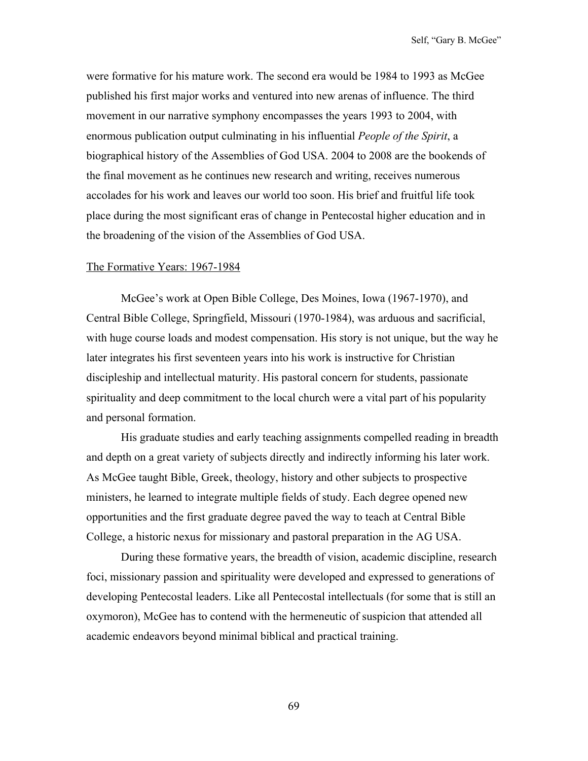were formative for his mature work. The second era would be 1984 to 1993 as McGee published his first major works and ventured into new arenas of influence. The third movement in our narrative symphony encompasses the years 1993 to 2004, with enormous publication output culminating in his influential *People of the Spirit*, a biographical history of the Assemblies of God USA. 2004 to 2008 are the bookends of the final movement as he continues new research and writing, receives numerous accolades for his work and leaves our world too soon. His brief and fruitful life took place during the most significant eras of change in Pentecostal higher education and in the broadening of the vision of the Assemblies of God USA.

#### The Formative Years: 1967-1984

McGee's work at Open Bible College, Des Moines, Iowa (1967-1970), and Central Bible College, Springfield, Missouri (1970-1984), was arduous and sacrificial, with huge course loads and modest compensation. His story is not unique, but the way he later integrates his first seventeen years into his work is instructive for Christian discipleship and intellectual maturity. His pastoral concern for students, passionate spirituality and deep commitment to the local church were a vital part of his popularity and personal formation.

His graduate studies and early teaching assignments compelled reading in breadth and depth on a great variety of subjects directly and indirectly informing his later work. As McGee taught Bible, Greek, theology, history and other subjects to prospective ministers, he learned to integrate multiple fields of study. Each degree opened new opportunities and the first graduate degree paved the way to teach at Central Bible College, a historic nexus for missionary and pastoral preparation in the AG USA.

During these formative years, the breadth of vision, academic discipline, research foci, missionary passion and spirituality were developed and expressed to generations of developing Pentecostal leaders. Like all Pentecostal intellectuals (for some that is still an oxymoron), McGee has to contend with the hermeneutic of suspicion that attended all academic endeavors beyond minimal biblical and practical training.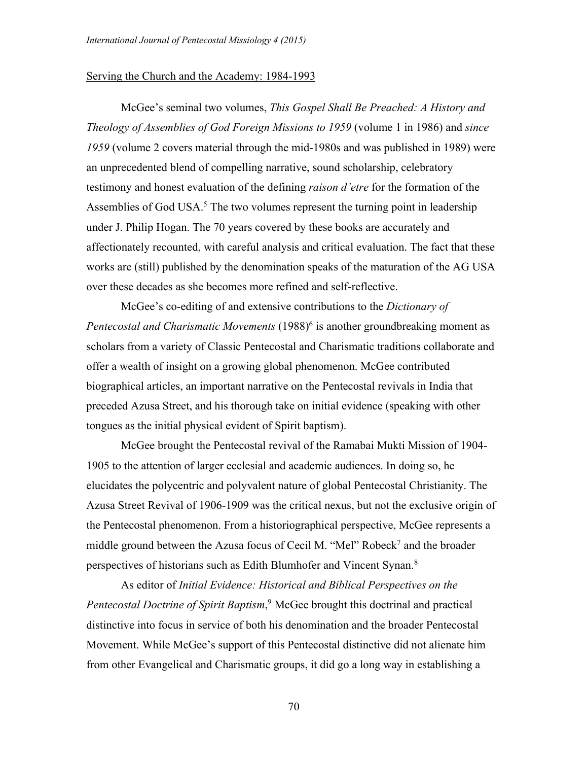#### Serving the Church and the Academy: 1984-1993

McGee's seminal two volumes, *This Gospel Shall Be Preached: A History and Theology of Assemblies of God Foreign Missions to 1959* (volume 1 in 1986) and *since 1959* (volume 2 covers material through the mid-1980s and was published in 1989) were an unprecedented blend of compelling narrative, sound scholarship, celebratory testimony and honest evaluation of the defining *raison d'etre* for the formation of the Assemblies of God USA. $<sup>5</sup>$  The two volumes represent the turning point in leadership</sup> under J. Philip Hogan. The 70 years covered by these books are accurately and affectionately recounted, with careful analysis and critical evaluation. The fact that these works are (still) published by the denomination speaks of the maturation of the AG USA over these decades as she becomes more refined and self-reflective.

McGee's co-editing of and extensive contributions to the *Dictionary of Pentecostal and Charismatic Movements* (1988)6 is another groundbreaking moment as scholars from a variety of Classic Pentecostal and Charismatic traditions collaborate and offer a wealth of insight on a growing global phenomenon. McGee contributed biographical articles, an important narrative on the Pentecostal revivals in India that preceded Azusa Street, and his thorough take on initial evidence (speaking with other tongues as the initial physical evident of Spirit baptism).

McGee brought the Pentecostal revival of the Ramabai Mukti Mission of 1904- 1905 to the attention of larger ecclesial and academic audiences. In doing so, he elucidates the polycentric and polyvalent nature of global Pentecostal Christianity. The Azusa Street Revival of 1906-1909 was the critical nexus, but not the exclusive origin of the Pentecostal phenomenon. From a historiographical perspective, McGee represents a middle ground between the Azusa focus of Cecil M. "Mel" Robeck<sup>7</sup> and the broader perspectives of historians such as Edith Blumhofer and Vincent Synan.8

As editor of *Initial Evidence: Historical and Biblical Perspectives on the Pentecostal Doctrine of Spirit Baptism*, <sup>9</sup> McGee brought this doctrinal and practical distinctive into focus in service of both his denomination and the broader Pentecostal Movement. While McGee's support of this Pentecostal distinctive did not alienate him from other Evangelical and Charismatic groups, it did go a long way in establishing a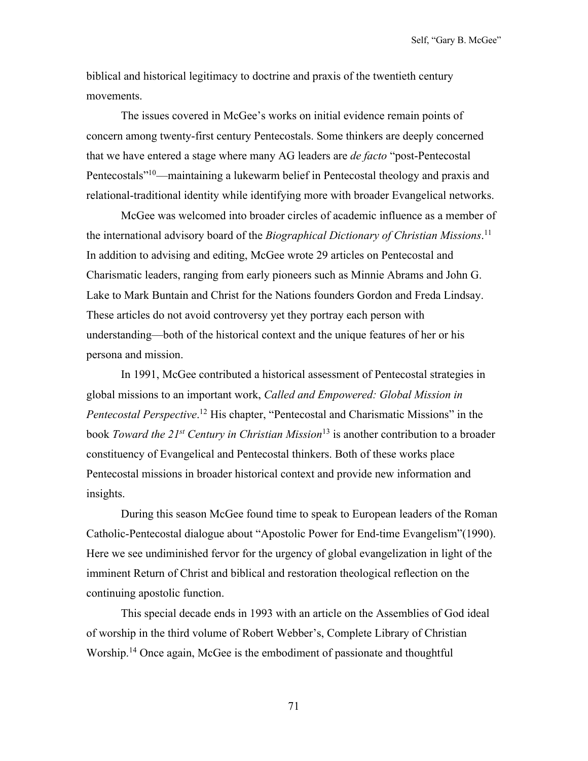Self, "Gary B. McGee"

biblical and historical legitimacy to doctrine and praxis of the twentieth century movements.

The issues covered in McGee's works on initial evidence remain points of concern among twenty-first century Pentecostals. Some thinkers are deeply concerned that we have entered a stage where many AG leaders are *de facto* "post-Pentecostal Pentecostals<sup>"10</sup>—maintaining a lukewarm belief in Pentecostal theology and praxis and relational-traditional identity while identifying more with broader Evangelical networks.

McGee was welcomed into broader circles of academic influence as a member of the international advisory board of the *Biographical Dictionary of Christian Missions*. 11 In addition to advising and editing, McGee wrote 29 articles on Pentecostal and Charismatic leaders, ranging from early pioneers such as Minnie Abrams and John G. Lake to Mark Buntain and Christ for the Nations founders Gordon and Freda Lindsay. These articles do not avoid controversy yet they portray each person with understanding—both of the historical context and the unique features of her or his persona and mission.

In 1991, McGee contributed a historical assessment of Pentecostal strategies in global missions to an important work, *Called and Empowered: Global Mission in Pentecostal Perspective*. <sup>12</sup> His chapter, "Pentecostal and Charismatic Missions" in the book *Toward the 21st Century in Christian Mission*<sup>13</sup> is another contribution to a broader constituency of Evangelical and Pentecostal thinkers. Both of these works place Pentecostal missions in broader historical context and provide new information and insights.

During this season McGee found time to speak to European leaders of the Roman Catholic-Pentecostal dialogue about "Apostolic Power for End-time Evangelism"(1990). Here we see undiminished fervor for the urgency of global evangelization in light of the imminent Return of Christ and biblical and restoration theological reflection on the continuing apostolic function.

This special decade ends in 1993 with an article on the Assemblies of God ideal of worship in the third volume of Robert Webber's, Complete Library of Christian Worship.<sup>14</sup> Once again, McGee is the embodiment of passionate and thoughtful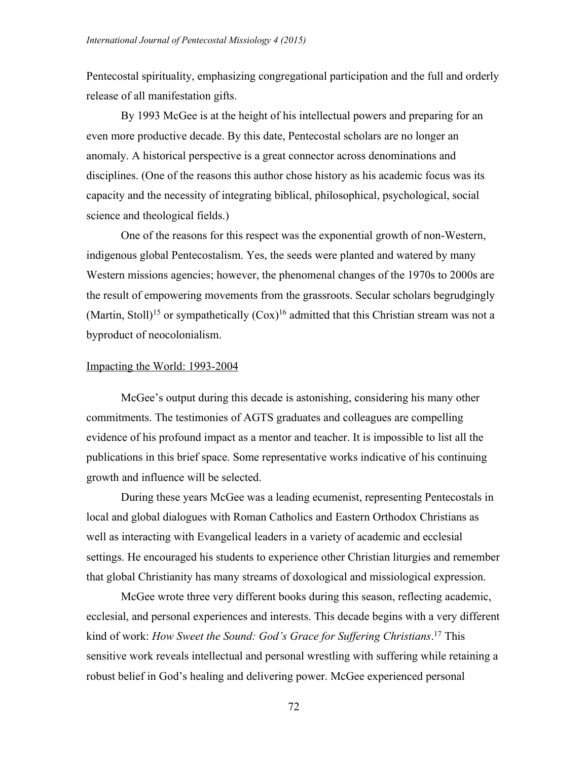Pentecostal spirituality, emphasizing congregational participation and the full and orderly release of all manifestation gifts.

By 1993 McGee is at the height of his intellectual powers and preparing for an even more productive decade. By this date, Pentecostal scholars are no longer an anomaly. A historical perspective is a great connector across denominations and disciplines. (One of the reasons this author chose history as his academic focus was its capacity and the necessity of integrating biblical, philosophical, psychological, social science and theological fields.)

One of the reasons for this respect was the exponential growth of non-Western, indigenous global Pentecostalism. Yes, the seeds were planted and watered by many Western missions agencies; however, the phenomenal changes of the 1970s to 2000s are the result of empowering movements from the grassroots. Secular scholars begrudgingly (Martin, Stoll)<sup>15</sup> or sympathetically  $(Cox)^{16}$  admitted that this Christian stream was not a byproduct of neocolonialism.

### Impacting the World: 1993-2004

McGee's output during this decade is astonishing, considering his many other commitments. The testimonies of AGTS graduates and colleagues are compelling evidence of his profound impact as a mentor and teacher. It is impossible to list all the publications in this brief space. Some representative works indicative of his continuing growth and influence will be selected.

During these years McGee was a leading ecumenist, representing Pentecostals in local and global dialogues with Roman Catholics and Eastern Orthodox Christians as well as interacting with Evangelical leaders in a variety of academic and ecclesial settings. He encouraged his students to experience other Christian liturgies and remember that global Christianity has many streams of doxological and missiological expression.

McGee wrote three very different books during this season, reflecting academic, ecclesial, and personal experiences and interests. This decade begins with a very different kind of work: *How Sweet the Sound: God's Grace for Suffering Christians*. <sup>17</sup> This sensitive work reveals intellectual and personal wrestling with suffering while retaining a robust belief in God's healing and delivering power. McGee experienced personal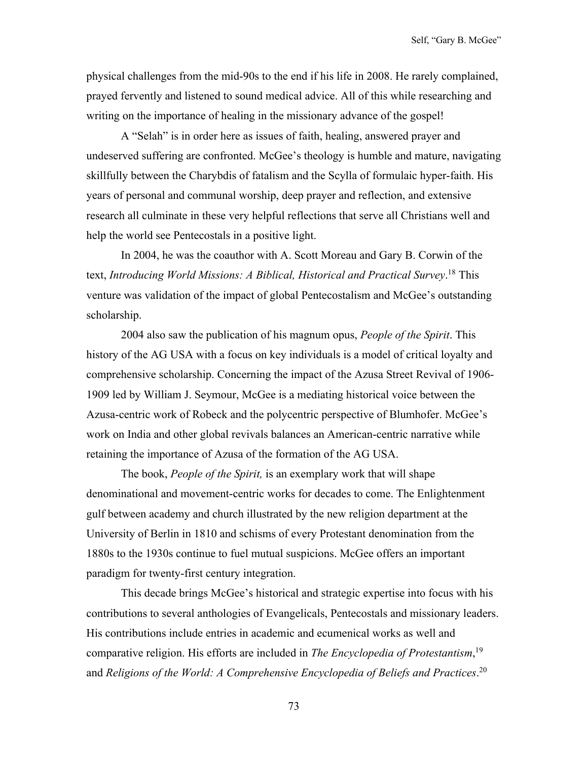physical challenges from the mid-90s to the end if his life in 2008. He rarely complained, prayed fervently and listened to sound medical advice. All of this while researching and writing on the importance of healing in the missionary advance of the gospel!

A "Selah" is in order here as issues of faith, healing, answered prayer and undeserved suffering are confronted. McGee's theology is humble and mature, navigating skillfully between the Charybdis of fatalism and the Scylla of formulaic hyper-faith. His years of personal and communal worship, deep prayer and reflection, and extensive research all culminate in these very helpful reflections that serve all Christians well and help the world see Pentecostals in a positive light.

In 2004, he was the coauthor with A. Scott Moreau and Gary B. Corwin of the text, *Introducing World Missions: A Biblical, Historical and Practical Survey*. <sup>18</sup> This venture was validation of the impact of global Pentecostalism and McGee's outstanding scholarship.

2004 also saw the publication of his magnum opus, *People of the Spirit*. This history of the AG USA with a focus on key individuals is a model of critical loyalty and comprehensive scholarship. Concerning the impact of the Azusa Street Revival of 1906- 1909 led by William J. Seymour, McGee is a mediating historical voice between the Azusa-centric work of Robeck and the polycentric perspective of Blumhofer. McGee's work on India and other global revivals balances an American-centric narrative while retaining the importance of Azusa of the formation of the AG USA.

The book, *People of the Spirit,* is an exemplary work that will shape denominational and movement-centric works for decades to come. The Enlightenment gulf between academy and church illustrated by the new religion department at the University of Berlin in 1810 and schisms of every Protestant denomination from the 1880s to the 1930s continue to fuel mutual suspicions. McGee offers an important paradigm for twenty-first century integration.

This decade brings McGee's historical and strategic expertise into focus with his contributions to several anthologies of Evangelicals, Pentecostals and missionary leaders. His contributions include entries in academic and ecumenical works as well and comparative religion. His efforts are included in *The Encyclopedia of Protestantism*, 19 and *Religions of the World: A Comprehensive Encyclopedia of Beliefs and Practices*. 20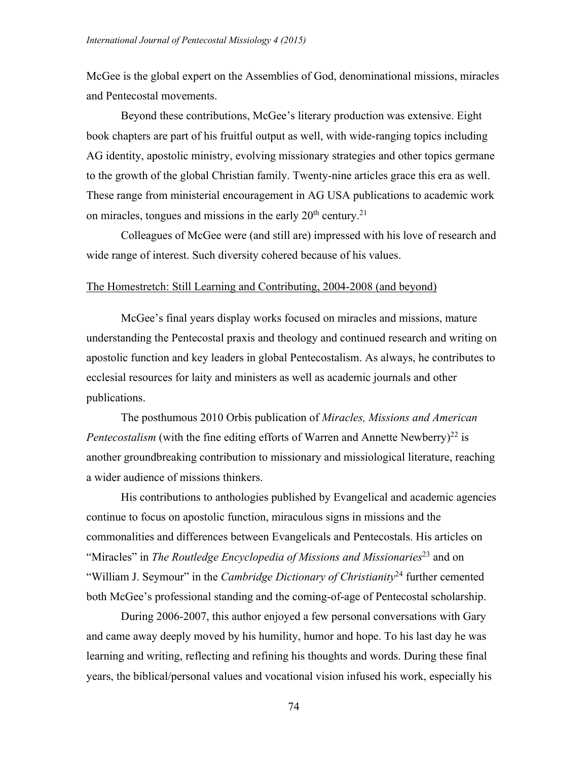McGee is the global expert on the Assemblies of God, denominational missions, miracles and Pentecostal movements.

Beyond these contributions, McGee's literary production was extensive. Eight book chapters are part of his fruitful output as well, with wide-ranging topics including AG identity, apostolic ministry, evolving missionary strategies and other topics germane to the growth of the global Christian family. Twenty-nine articles grace this era as well. These range from ministerial encouragement in AG USA publications to academic work on miracles, tongues and missions in the early  $20<sup>th</sup>$  century.<sup>21</sup>

Colleagues of McGee were (and still are) impressed with his love of research and wide range of interest. Such diversity cohered because of his values.

#### The Homestretch: Still Learning and Contributing, 2004-2008 (and beyond)

McGee's final years display works focused on miracles and missions, mature understanding the Pentecostal praxis and theology and continued research and writing on apostolic function and key leaders in global Pentecostalism. As always, he contributes to ecclesial resources for laity and ministers as well as academic journals and other publications.

The posthumous 2010 Orbis publication of *Miracles, Missions and American Pentecostalism* (with the fine editing efforts of Warren and Annette Newberry)<sup>22</sup> is another groundbreaking contribution to missionary and missiological literature, reaching a wider audience of missions thinkers.

His contributions to anthologies published by Evangelical and academic agencies continue to focus on apostolic function, miraculous signs in missions and the commonalities and differences between Evangelicals and Pentecostals. His articles on "Miracles" in *The Routledge Encyclopedia of Missions and Missionaries*<sup>23</sup> and on "William J. Seymour" in the *Cambridge Dictionary of Christianity*<sup>24</sup> further cemented both McGee's professional standing and the coming-of-age of Pentecostal scholarship.

During 2006-2007, this author enjoyed a few personal conversations with Gary and came away deeply moved by his humility, humor and hope. To his last day he was learning and writing, reflecting and refining his thoughts and words. During these final years, the biblical/personal values and vocational vision infused his work, especially his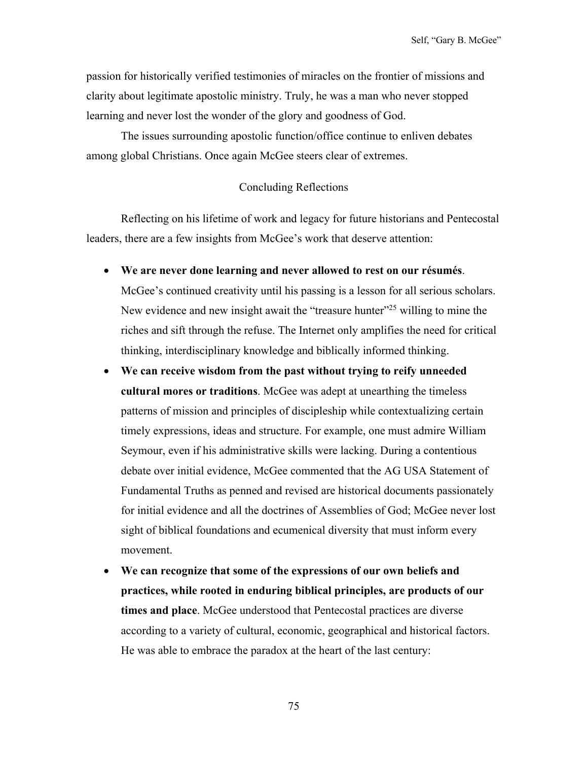passion for historically verified testimonies of miracles on the frontier of missions and clarity about legitimate apostolic ministry. Truly, he was a man who never stopped learning and never lost the wonder of the glory and goodness of God.

The issues surrounding apostolic function/office continue to enliven debates among global Christians. Once again McGee steers clear of extremes.

#### Concluding Reflections

Reflecting on his lifetime of work and legacy for future historians and Pentecostal leaders, there are a few insights from McGee's work that deserve attention:

- **We are never done learning and never allowed to rest on our résumés**. McGee's continued creativity until his passing is a lesson for all serious scholars. New evidence and new insight await the "treasure hunter"<sup>25</sup> willing to mine the riches and sift through the refuse. The Internet only amplifies the need for critical thinking, interdisciplinary knowledge and biblically informed thinking.
- **We can receive wisdom from the past without trying to reify unneeded cultural mores or traditions**. McGee was adept at unearthing the timeless patterns of mission and principles of discipleship while contextualizing certain timely expressions, ideas and structure. For example, one must admire William Seymour, even if his administrative skills were lacking. During a contentious debate over initial evidence, McGee commented that the AG USA Statement of Fundamental Truths as penned and revised are historical documents passionately for initial evidence and all the doctrines of Assemblies of God; McGee never lost sight of biblical foundations and ecumenical diversity that must inform every movement.
- **We can recognize that some of the expressions of our own beliefs and practices, while rooted in enduring biblical principles, are products of our times and place**. McGee understood that Pentecostal practices are diverse according to a variety of cultural, economic, geographical and historical factors. He was able to embrace the paradox at the heart of the last century: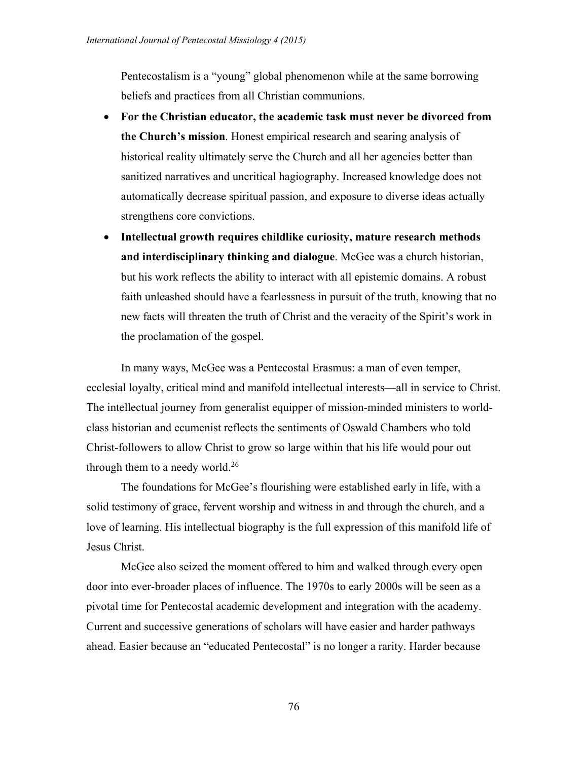Pentecostalism is a "young" global phenomenon while at the same borrowing beliefs and practices from all Christian communions.

- **For the Christian educator, the academic task must never be divorced from the Church's mission**. Honest empirical research and searing analysis of historical reality ultimately serve the Church and all her agencies better than sanitized narratives and uncritical hagiography. Increased knowledge does not automatically decrease spiritual passion, and exposure to diverse ideas actually strengthens core convictions.
- **Intellectual growth requires childlike curiosity, mature research methods and interdisciplinary thinking and dialogue**. McGee was a church historian, but his work reflects the ability to interact with all epistemic domains. A robust faith unleashed should have a fearlessness in pursuit of the truth, knowing that no new facts will threaten the truth of Christ and the veracity of the Spirit's work in the proclamation of the gospel.

In many ways, McGee was a Pentecostal Erasmus: a man of even temper, ecclesial loyalty, critical mind and manifold intellectual interests—all in service to Christ. The intellectual journey from generalist equipper of mission-minded ministers to worldclass historian and ecumenist reflects the sentiments of Oswald Chambers who told Christ-followers to allow Christ to grow so large within that his life would pour out through them to a needy world.<sup>26</sup>

The foundations for McGee's flourishing were established early in life, with a solid testimony of grace, fervent worship and witness in and through the church, and a love of learning. His intellectual biography is the full expression of this manifold life of Jesus Christ.

McGee also seized the moment offered to him and walked through every open door into ever-broader places of influence. The 1970s to early 2000s will be seen as a pivotal time for Pentecostal academic development and integration with the academy. Current and successive generations of scholars will have easier and harder pathways ahead. Easier because an "educated Pentecostal" is no longer a rarity. Harder because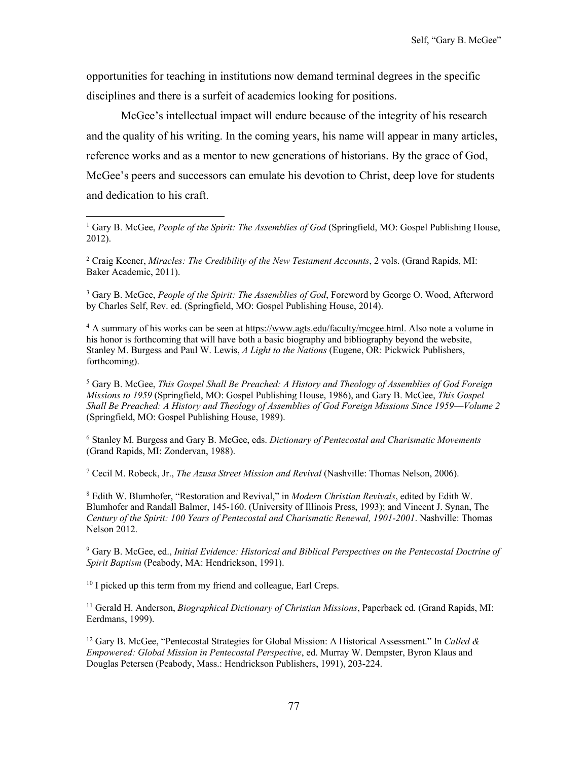opportunities for teaching in institutions now demand terminal degrees in the specific disciplines and there is a surfeit of academics looking for positions.

McGee's intellectual impact will endure because of the integrity of his research and the quality of his writing. In the coming years, his name will appear in many articles, reference works and as a mentor to new generations of historians. By the grace of God, McGee's peers and successors can emulate his devotion to Christ, deep love for students and dedication to his craft.

<sup>2</sup> Craig Keener, *Miracles: The Credibility of the New Testament Accounts*, 2 vols. (Grand Rapids, MI: Baker Academic, 2011).

<sup>3</sup> Gary B. McGee, *People of the Spirit: The Assemblies of God*, Foreword by George O. Wood, Afterword by Charles Self, Rev. ed. (Springfield, MO: Gospel Publishing House, 2014).

<sup>4</sup> A summary of his works can be seen at https://www.agts.edu/faculty/mcgee.html. Also note a volume in his honor is forthcoming that will have both a basic biography and bibliography beyond the website, Stanley M. Burgess and Paul W. Lewis, *A Light to the Nations* (Eugene, OR: Pickwick Publishers, forthcoming).

<sup>5</sup> Gary B. McGee, *This Gospel Shall Be Preached: A History and Theology of Assemblies of God Foreign Missions to 1959* (Springfield, MO: Gospel Publishing House, 1986), and Gary B. McGee, *This Gospel Shall Be Preached: A History and Theology of Assemblies of God Foreign Missions Since 1959*—*Volume 2* (Springfield, MO: Gospel Publishing House, 1989).

<sup>6</sup> Stanley M. Burgess and Gary B. McGee, eds. *Dictionary of Pentecostal and Charismatic Movements* (Grand Rapids, MI: Zondervan, 1988).

<sup>7</sup> Cecil M. Robeck, Jr., *The Azusa Street Mission and Revival* (Nashville: Thomas Nelson, 2006).

<sup>8</sup> Edith W. Blumhofer, "Restoration and Revival," in *Modern Christian Revivals*, edited by Edith W. Blumhofer and Randall Balmer, 145-160. (University of Illinois Press, 1993); and Vincent J. Synan, The *Century of the Spirit: 100 Years of Pentecostal and Charismatic Renewal, 1901-2001*. Nashville: Thomas Nelson 2012.

<sup>9</sup> Gary B. McGee, ed., *Initial Evidence: Historical and Biblical Perspectives on the Pentecostal Doctrine of Spirit Baptism* (Peabody, MA: Hendrickson, 1991).

<sup>10</sup> I picked up this term from my friend and colleague, Earl Creps.

<sup>11</sup> Gerald H. Anderson, *Biographical Dictionary of Christian Missions*, Paperback ed. (Grand Rapids, MI: Eerdmans, 1999).

<sup>12</sup> Gary B. McGee, "Pentecostal Strategies for Global Mission: A Historical Assessment." In *Called & Empowered: Global Mission in Pentecostal Perspective*, ed. Murray W. Dempster, Byron Klaus and Douglas Petersen (Peabody, Mass.: Hendrickson Publishers, 1991), 203-224.

<sup>1</sup> Gary B. McGee, *People of the Spirit: The Assemblies of God* (Springfield, MO: Gospel Publishing House, 2012).